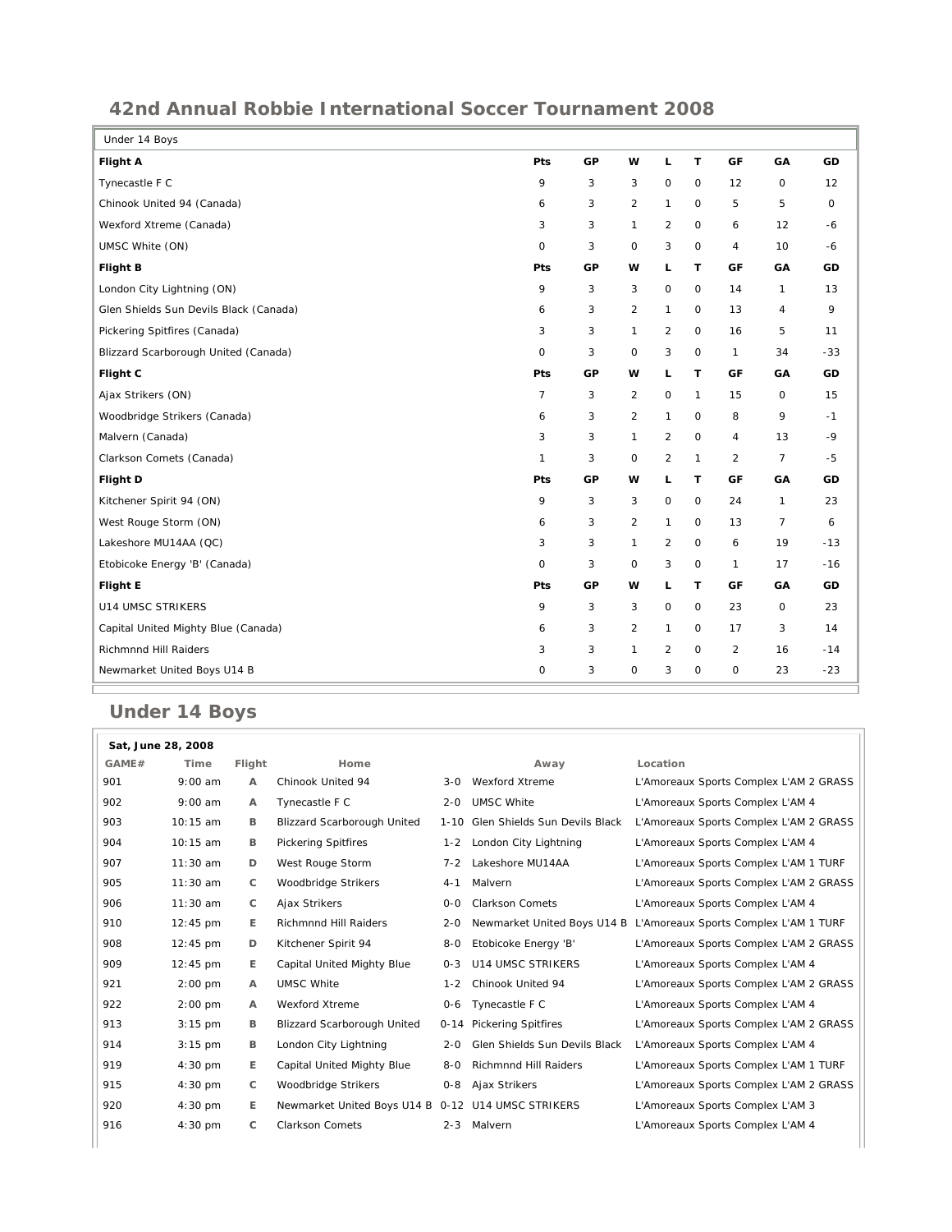## **42nd Annual Robbie International Soccer Tournament 2008**

| Under 14 Boys                          |                |    |                     |                     |              |                |                |              |
|----------------------------------------|----------------|----|---------------------|---------------------|--------------|----------------|----------------|--------------|
| Flight A                               | Pts            | GP | w                   | L                   | T.           | GF             | GA             | GD           |
| Tynecastle F C                         | 9              | 3  | 3                   | $\mathsf{O}$        | $\mathsf{O}$ | 12             | 0              | 12           |
| Chinook United 94 (Canada)             | 6              | 3  | $\overline{2}$      | $\mathbf{1}$        | $\mathbf 0$  | 5              | 5              | $\mathsf{O}$ |
| Wexford Xtreme (Canada)                | 3              | 3  | $\mathbf{1}$        | 2                   | $\mathbf 0$  | 6              | 12             | $-6$         |
| UMSC White (ON)                        | $\circ$        | 3  | $\circ$             | 3                   | $\mathbf 0$  | 4              | 10             | $-6$         |
| <b>Flight B</b>                        | Pts            | GP | w                   | L                   | T.           | GF             | GА             | GD           |
| London City Lightning (ON)             | 9              | 3  | 3                   | $\mathsf{O}\xspace$ | $\mathsf{O}$ | 14             | $\mathbf{1}$   | 13           |
| Glen Shields Sun Devils Black (Canada) | 6              | 3  | 2                   | $\mathbf{1}$        | $\mathbf 0$  | 13             | $\overline{4}$ | 9            |
| Pickering Spitfires (Canada)           | 3              | 3  | $\mathbf{1}$        | 2                   | $\mathbf 0$  | 16             | 5              | 11           |
| Blizzard Scarborough United (Canada)   | $\mathbf 0$    | 3  | $\mathsf{O}$        | 3                   | $\mathbf 0$  | $\mathbf{1}$   | 34             | $-33$        |
| Flight C                               | Pts            | GP | w                   | L                   | T.           | <b>GF</b>      | GA             | GD           |
| Ajax Strikers (ON)                     | $\overline{7}$ | 3  | $\overline{2}$      | $\mathsf{O}$        | $\mathbf{1}$ | 15             | $\circ$        | 15           |
| Woodbridge Strikers (Canada)           | 6              | 3  | $\overline{2}$      | $\mathbf{1}$        | $\mathbf 0$  | 8              | 9              | $-1$         |
| Malvern (Canada)                       | 3              | 3  | $\mathbf{1}$        | 2                   | $\mathsf{O}$ | 4              | 13             | $-9$         |
| Clarkson Comets (Canada)               | $\mathbf{1}$   | 3  | 0                   | $\overline{2}$      | $\mathbf{1}$ | $\overline{2}$ | $\overline{7}$ | $-5$         |
| Flight D                               | Pts            | GP | w                   | L                   | T.           | GF             | GA             | GD           |
| Kitchener Spirit 94 (ON)               | 9              | 3  | 3                   | $\mathsf O$         | $\mathbf 0$  | 24             | $\mathbf{1}$   | 23           |
| West Rouge Storm (ON)                  | 6              | 3  | 2                   | $\mathbf{1}$        | $\mathbf 0$  | 13             | $\overline{7}$ | 6            |
| Lakeshore MU14AA (QC)                  | 3              | 3  | $\mathbf{1}$        | 2                   | $\mathbf 0$  | 6              | 19             | $-13$        |
| Etobicoke Energy 'B' (Canada)          | $\mathbf 0$    | 3  | $\mathsf{O}\xspace$ | 3                   | $\mathsf O$  | 1              | 17             | $-16$        |
| Flight E                               | Pts            | GP | w                   | L                   | т            | GF             | GA             | GD           |
| <b>U14 UMSC STRIKERS</b>               | 9              | 3  | 3                   | $\mathsf O$         | $\mathbf 0$  | 23             | 0              | 23           |
| Capital United Mighty Blue (Canada)    | 6              | 3  | 2                   | $\mathbf{1}$        | $\mathbf 0$  | 17             | 3              | 14           |
| Richmnnd Hill Raiders                  | 3              | 3  | $\mathbf{1}$        | $\overline{2}$      | $\mathbf 0$  | $\overline{2}$ | 16             | $-14$        |
| Newmarket United Boys U14 B            | 0              | 3  | 0                   | 3                   | $\mathsf{O}$ | 0              | 23             | $-23$        |

## **Under 14 Boys**

| Sat, June 28, 2008 |                    |              |                                                    |         |                                    |                                                                   |  |
|--------------------|--------------------|--------------|----------------------------------------------------|---------|------------------------------------|-------------------------------------------------------------------|--|
| GAME#              | Time               | Flight       | Home                                               |         | Away                               | Location                                                          |  |
| 901                | $9:00$ am          | A            | Chinook United 94                                  |         | 3-0 Wexford Xtreme                 | L'Amoreaux Sports Complex L'AM 2 GRASS                            |  |
| 902                | $9:00$ am          | A            | Tynecastle F C                                     | $2 - 0$ | <b>UMSC White</b>                  | L'Amoreaux Sports Complex L'AM 4                                  |  |
| 903                | 10:15 am           | в            | <b>Blizzard Scarborough United</b>                 |         | 1-10 Glen Shields Sun Devils Black | L'Amoreaux Sports Complex L'AM 2 GRASS                            |  |
| 904                | 10:15 am           | B            | <b>Pickering Spitfires</b>                         | $1 - 2$ | London City Lightning              | L'Amoreaux Sports Complex L'AM 4                                  |  |
| 907                | 11:30 am           | D            | West Rouge Storm                                   | $7 - 2$ | Lakeshore MU14AA                   | L'Amoreaux Sports Complex L'AM 1 TURF                             |  |
| 905                | $11:30$ am         | C            | Woodbridge Strikers                                | $4 - 1$ | Malvern                            | L'Amoreaux Sports Complex L'AM 2 GRASS                            |  |
| 906                | $11:30$ am         | $\mathsf{C}$ | Ajax Strikers                                      | $O-O$   | <b>Clarkson Comets</b>             | L'Amoreaux Sports Complex L'AM 4                                  |  |
| 910                | $12:45 \text{ pm}$ | E.           | <b>Richmnnd Hill Raiders</b>                       | $2 - 0$ |                                    | Newmarket United Boys U14 B L'Amoreaux Sports Complex L'AM 1 TURF |  |
| 908                | $12:45 \text{ pm}$ | D            | Kitchener Spirit 94                                | $8-0$   | Etobicoke Energy 'B'               | L'Amoreaux Sports Complex L'AM 2 GRASS                            |  |
| 909                | $12:45$ pm         | E.           | Capital United Mighty Blue                         | $0 - 3$ | <b>U14 UMSC STRIKERS</b>           | L'Amoreaux Sports Complex L'AM 4                                  |  |
| 921                | $2:00$ pm          | $\mathsf{A}$ | <b>UMSC White</b>                                  | $1 - 2$ | Chinook United 94                  | L'Amoreaux Sports Complex L'AM 2 GRASS                            |  |
| 922                | $2:00$ pm          | $\mathsf{A}$ | Wexford Xtreme                                     | $0 - 6$ | Tynecastle F C                     | L'Amoreaux Sports Complex L'AM 4                                  |  |
| 913                | $3:15$ pm          | в            | Blizzard Scarborough United                        |         | 0-14 Pickering Spitfires           | L'Amoreaux Sports Complex L'AM 2 GRASS                            |  |
| 914                | $3:15$ pm          | В            | London City Lightning                              | $2 - 0$ | Glen Shields Sun Devils Black      | L'Amoreaux Sports Complex L'AM 4                                  |  |
| 919                | $4:30$ pm          | E.           | Capital United Mighty Blue                         | $8-0$   | <b>Richmnnd Hill Raiders</b>       | L'Amoreaux Sports Complex L'AM 1 TURF                             |  |
| 915                | $4:30$ pm          | C            | Woodbridge Strikers                                | $0 - 8$ | Ajax Strikers                      | L'Amoreaux Sports Complex L'AM 2 GRASS                            |  |
| 920                | $4:30$ pm          | E.           | Newmarket United Boys U14 B 0-12 U14 UMSC STRIKERS |         |                                    | L'Amoreaux Sports Complex L'AM 3                                  |  |
| 916                | $4:30$ pm          | C            | <b>Clarkson Comets</b>                             | $2 - 3$ | Malvern                            | L'Amoreaux Sports Complex L'AM 4                                  |  |
|                    |                    |              |                                                    |         |                                    |                                                                   |  |